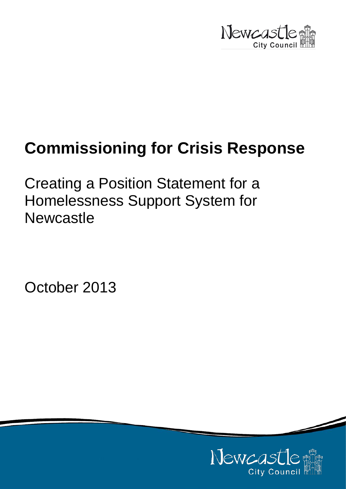

# **Commissioning for Crisis Response**

Creating a Position Statement for a Homelessness Support System for **Newcastle** 

October 2013

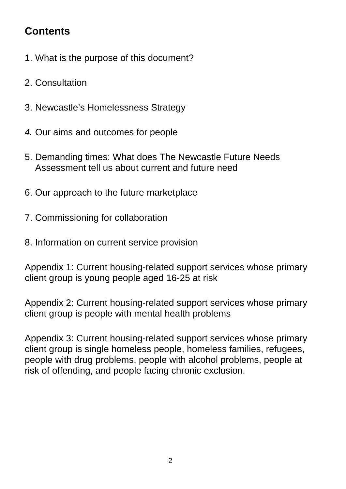# **Contents**

- 1. What is the purpose of this document?
- 2. Consultation
- 3. Newcastle's Homelessness Strategy
- *4.* Our aims and outcomes for people
- 5. Demanding times: What does The Newcastle Future Needs Assessment tell us about current and future need
- 6. Our approach to the future marketplace
- 7. Commissioning for collaboration
- 8. Information on current service provision

Appendix 1: Current housing-related support services whose primary client group is young people aged 16-25 at risk

Appendix 2: Current housing-related support services whose primary client group is people with mental health problems

Appendix 3: Current housing-related support services whose primary client group is single homeless people, homeless families, refugees, people with drug problems, people with alcohol problems, people at risk of offending, and people facing chronic exclusion.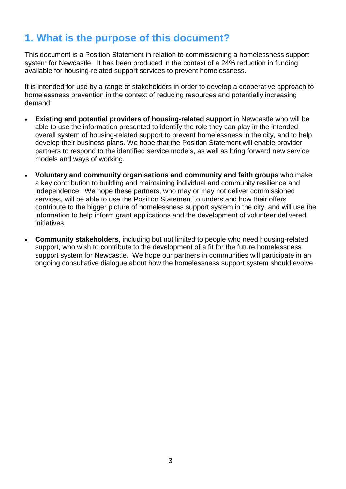# **1. What is the purpose of this document?**

This document is a Position Statement in relation to commissioning a homelessness support system for Newcastle. It has been produced in the context of a 24% reduction in funding available for housing-related support services to prevent homelessness.

It is intended for use by a range of stakeholders in order to develop a cooperative approach to homelessness prevention in the context of reducing resources and potentially increasing demand:

- **Existing and potential providers of housing-related support** in Newcastle who will be able to use the information presented to identify the role they can play in the intended overall system of housing-related support to prevent homelessness in the city, and to help develop their business plans. We hope that the Position Statement will enable provider partners to respond to the identified service models, as well as bring forward new service models and ways of working.
- **Voluntary and community organisations and community and faith groups** who make a key contribution to building and maintaining individual and community resilience and independence. We hope these partners, who may or may not deliver commissioned services, will be able to use the Position Statement to understand how their offers contribute to the bigger picture of homelessness support system in the city, and will use the information to help inform grant applications and the development of volunteer delivered initiatives.
- **Community stakeholders**, including but not limited to people who need housing-related support, who wish to contribute to the development of a fit for the future homelessness support system for Newcastle. We hope our partners in communities will participate in an ongoing consultative dialogue about how the homelessness support system should evolve.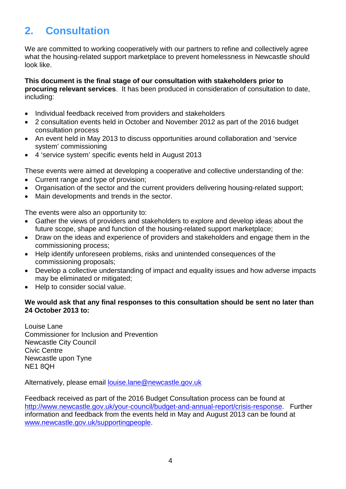# **2. Consultation**

We are committed to working cooperatively with our partners to refine and collectively agree what the housing-related support marketplace to prevent homelessness in Newcastle should look like.

**This document is the final stage of our consultation with stakeholders prior to procuring relevant services**. It has been produced in consideration of consultation to date, including:

- Individual feedback received from providers and stakeholders
- 2 consultation events held in October and November 2012 as part of the 2016 budget consultation process
- An event held in May 2013 to discuss opportunities around collaboration and 'service system' commissioning
- 4 'service system' specific events held in August 2013

These events were aimed at developing a cooperative and collective understanding of the:

- Current range and type of provision;
- Organisation of the sector and the current providers delivering housing-related support;
- Main developments and trends in the sector.

The events were also an opportunity to:

- Gather the views of providers and stakeholders to explore and develop ideas about the future scope, shape and function of the housing-related support marketplace;
- Draw on the ideas and experience of providers and stakeholders and engage them in the commissioning process;
- Help identify unforeseen problems, risks and unintended consequences of the commissioning proposals;
- Develop a collective understanding of impact and equality issues and how adverse impacts may be eliminated or mitigated;
- Help to consider social value.

### **We would ask that any final responses to this consultation should be sent no later than 24 October 2013 to:**

Louise Lane Commissioner for Inclusion and Prevention Newcastle City Council Civic Centre Newcastle upon Tyne NE1 8QH

Alternatively, please email **louise.lane@newcastle.gov.uk** 

Feedback received as part of the 2016 Budget Consultation process can be found at [http://www.newcastle.gov.uk/your-council/budget-and-annual-report/crisis-response.](http://www.newcastle.gov.uk/your-council/budget-and-annual-report/crisis-response) Further information and feedback from the events held in May and August 2013 can be found at [www.newcastle.gov.uk/supportingpeople.](http://www.newcastle.gov.uk/supportingpeople)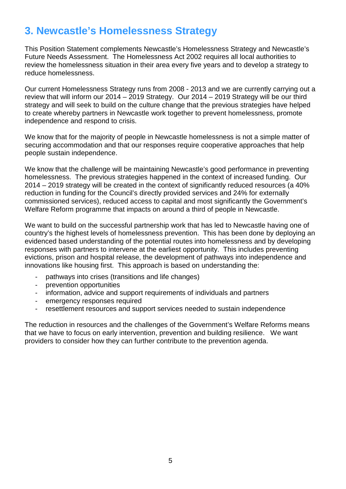# **3. Newcastle's Homelessness Strategy**

This Position Statement complements Newcastle's Homelessness Strategy and Newcastle's Future Needs Assessment. The Homelessness Act 2002 requires all local authorities to review the homelessness situation in their area every five years and to develop a strategy to reduce homelessness.

Our current Homelessness Strategy runs from 2008 - 2013 and we are currently carrying out a review that will inform our 2014 – 2019 Strategy. Our 2014 – 2019 Strategy will be our third strategy and will seek to build on the culture change that the previous strategies have helped to create whereby partners in Newcastle work together to prevent homelessness, promote independence and respond to crisis.

We know that for the majority of people in Newcastle homelessness is not a simple matter of securing accommodation and that our responses require cooperative approaches that help people sustain independence.

We know that the challenge will be maintaining Newcastle's good performance in preventing homelessness. The previous strategies happened in the context of increased funding. Our 2014 – 2019 strategy will be created in the context of significantly reduced resources (a 40% reduction in funding for the Council's directly provided services and 24% for externally commissioned services), reduced access to capital and most significantly the Government's Welfare Reform programme that impacts on around a third of people in Newcastle.

We want to build on the successful partnership work that has led to Newcastle having one of country's the highest levels of homelessness prevention. This has been done by deploying an evidenced based understanding of the potential routes into homelessness and by developing responses with partners to intervene at the earliest opportunity. This includes preventing evictions, prison and hospital release, the development of pathways into independence and innovations like housing first. This approach is based on understanding the:

- pathways into crises (transitions and life changes)
- prevention opportunities
- information, advice and support requirements of individuals and partners
- emergency responses required
- resettlement resources and support services needed to sustain independence

The reduction in resources and the challenges of the Government's Welfare Reforms means that we have to focus on early intervention, prevention and building resilience. We want providers to consider how they can further contribute to the prevention agenda.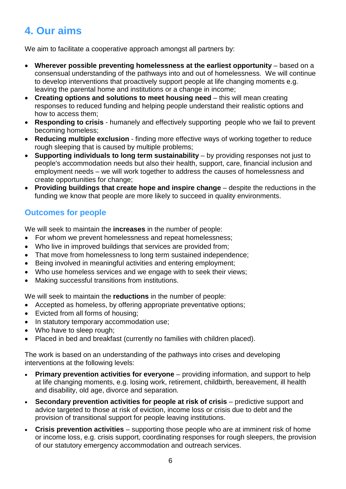# **4. Our aims**

We aim to facilitate a cooperative approach amongst all partners by:

- **Wherever possible preventing homelessness at the earliest opportunity** based on a consensual understanding of the pathways into and out of homelessness. We will continue to develop interventions that proactively support people at life changing moments e.g. leaving the parental home and institutions or a change in income;
- **Creating options and solutions to meet housing need** this will mean creating responses to reduced funding and helping people understand their realistic options and how to access them;
- **Responding to crisis** humanely and effectively supporting people who we fail to prevent becoming homeless;
- **Reducing multiple exclusion** finding more effective ways of working together to reduce rough sleeping that is caused by multiple problems;
- **Supporting individuals to long term sustainability** by providing responses not just to people's accommodation needs but also their health, support, care, financial inclusion and employment needs – we will work together to address the causes of homelessness and create opportunities for change;
- **Providing buildings that create hope and inspire change** despite the reductions in the funding we know that people are more likely to succeed in quality environments.

### **Outcomes for people**

We will seek to maintain the **increases** in the number of people:

- For whom we prevent homelessness and repeat homelessness;
- Who live in improved buildings that services are provided from;
- That move from homelessness to long term sustained independence;
- Being involved in meaningful activities and entering employment;
- Who use homeless services and we engage with to seek their views;
- Making successful transitions from institutions.

We will seek to maintain the **reductions** in the number of people:

- Accepted as homeless, by offering appropriate preventative options;
- Evicted from all forms of housing;
- In statutory temporary accommodation use:
- Who have to sleep rough;
- Placed in bed and breakfast (currently no families with children placed).

The work is based on an understanding of the pathways into crises and developing interventions at the following levels:

- **Primary prevention activities for everyone** providing information, and support to help at life changing moments, e.g. losing work, retirement, childbirth, bereavement, ill health and disability, old age, divorce and separation.
- **Secondary prevention activities for people at risk of crisis** predictive support and advice targeted to those at risk of eviction, income loss or crisis due to debt and the provision of transitional support for people leaving institutions.
- **Crisis prevention activities**  supporting those people who are at imminent risk of home or income loss, e.g. crisis support, coordinating responses for rough sleepers, the provision of our statutory emergency accommodation and outreach services.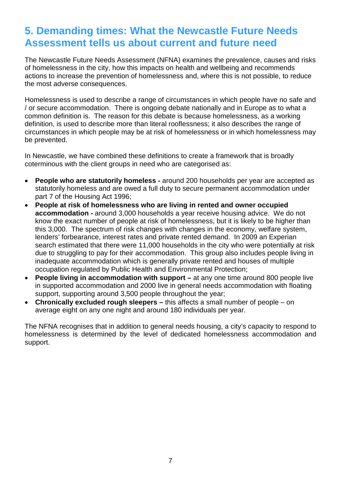### **5. Demanding times: What the Newcastle Future Needs Assessment tells us about current and future need**

The Newcastle Future Needs Assessment (NFNA) examines the prevalence, causes and risks of homelessness in the city, how this impacts on health and wellbeing and recommends actions to increase the prevention of homelessness and, where this is not possible, to reduce the most adverse consequences.

Homelessness is used to describe a range of circumstances in which people have no safe and / or secure accommodation. There is ongoing debate nationally and in Europe as to what a common definition is. The reason for this debate is because homelessness, as a working definition, is used to describe more than literal rooflessness; it also describes the range of circumstances in which people may be at risk of homelessness or in which homelessness may be prevented.

In Newcastle, we have combined these definitions to create a framework that is broadly coterminous with the client groups in need who are categorised as:

- **People who are statutorily homeless -** around 200 households per year are accepted as statutorily homeless and are owed a full duty to secure permanent accommodation under part 7 of the Housing Act 1996;
- **People at risk of homelessness who are living in rented and owner occupied accommodation -** around 3,000 households a year receive housing advice. We do not know the exact number of people at risk of homelessness, but it is likely to be higher than this 3,000. The spectrum of risk changes with changes in the economy, welfare system, lenders' forbearance, interest rates and private rented demand. In 2009 an Experian search estimated that there were 11,000 households in the city who were potentially at risk due to struggling to pay for their accommodation. This group also includes people living in inadequate accommodation which is generally private rented and houses of multiple occupation regulated by Public Health and Environmental Protection;
- **People living in accommodation with support –** at any one time around 800 people live in supported accommodation and 2000 live in general needs accommodation with floating support, supporting around 3,500 people throughout the year;
- **Chronically excluded rough sleepers –** this affects a small number of people on average eight on any one night and around 180 individuals per year.

The NFNA recognises that in addition to general needs housing, a city's capacity to respond to homelessness is determined by the level of dedicated homelessness accommodation and support.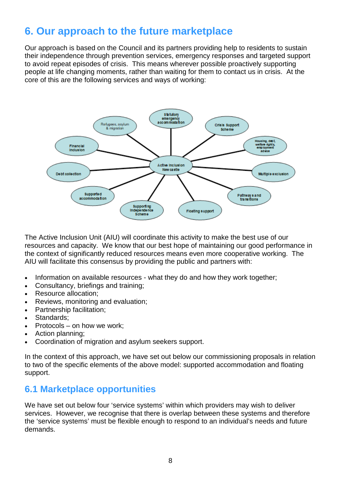# **6. Our approach to the future marketplace**

Our approach is based on the Council and its partners providing help to residents to sustain their independence through prevention services, emergency responses and targeted support to avoid repeat episodes of crisis. This means wherever possible proactively supporting people at life changing moments, rather than waiting for them to contact us in crisis. At the core of this are the following services and ways of working:



The Active Inclusion Unit (AIU) will coordinate this activity to make the best use of our resources and capacity. We know that our best hope of maintaining our good performance in the context of significantly reduced resources means even more cooperative working. The AIU will facilitate this consensus by providing the public and partners with:

- Information on available resources what they do and how they work together;
- Consultancy, briefings and training;
- Resource allocation;
- Reviews, monitoring and evaluation;
- Partnership facilitation;
- Standards:
- Protocols on how we work;
- Action planning:
- Coordination of migration and asylum seekers support.

In the context of this approach, we have set out below our commissioning proposals in relation to two of the specific elements of the above model: supported accommodation and floating support.

### **6.1 Marketplace opportunities**

We have set out below four 'service systems' within which providers may wish to deliver services. However, we recognise that there is overlap between these systems and therefore the 'service systems' must be flexible enough to respond to an individual's needs and future demands.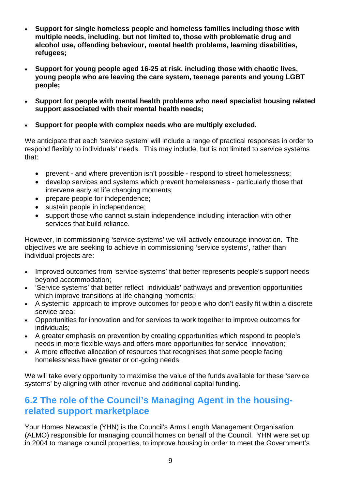- **Support for single homeless people and homeless families including those with multiple needs, including, but not limited to, those with problematic drug and alcohol use, offending behaviour, mental health problems, learning disabilities, refugees;**
- **Support for young people aged 16-25 at risk, including those with chaotic lives, young people who are leaving the care system, teenage parents and young LGBT people;**
- **Support for people with mental health problems who need specialist housing related support associated with their mental health needs;**
- **Support for people with complex needs who are multiply excluded.**

We anticipate that each 'service system' will include a range of practical responses in order to respond flexibly to individuals' needs. This may include, but is not limited to service systems that:

- prevent and where prevention isn't possible respond to street homelessness;
- develop services and systems which prevent homelessness particularly those that intervene early at life changing moments;
- prepare people for independence;
- sustain people in independence;
- support those who cannot sustain independence including interaction with other services that build reliance.

However, in commissioning 'service systems' we will actively encourage innovation. The objectives we are seeking to achieve in commissioning 'service systems', rather than individual projects are:

- Improved outcomes from 'service systems' that better represents people's support needs beyond accommodation;
- 'Service systems' that better reflect individuals' pathways and prevention opportunities which improve transitions at life changing moments;
- A systemic approach to improve outcomes for people who don't easily fit within a discrete service area;
- Opportunities for innovation and for services to work together to improve outcomes for individuals;
- A greater emphasis on prevention by creating opportunities which respond to people's needs in more flexible ways and offers more opportunities for service innovation;
- A more effective allocation of resources that recognises that some people facing homelessness have greater or on-going needs.

We will take every opportunity to maximise the value of the funds available for these 'service systems' by aligning with other revenue and additional capital funding.

### **6.2 The role of the Council's Managing Agent in the housingrelated support marketplace**

Your Homes Newcastle (YHN) is the Council's Arms Length Management Organisation (ALMO) responsible for managing council homes on behalf of the Council. YHN were set up in 2004 to manage council properties, to improve housing in order to meet the Government's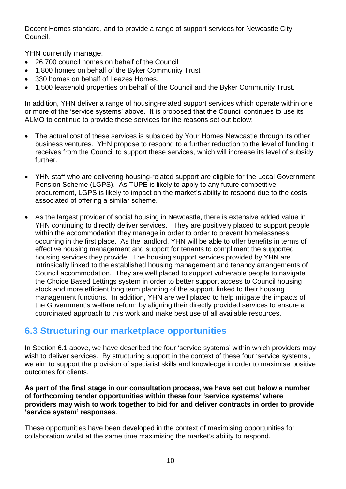Decent Homes standard, and to provide a range of support services for Newcastle City Council.

YHN currently manage:

- 26,700 council homes on behalf of the Council
- 1,800 homes on behalf of the Byker Community Trust
- 330 homes on behalf of Leazes Homes.
- 1,500 leasehold properties on behalf of the Council and the Byker Community Trust.

In addition, YHN deliver a range of housing-related support services which operate within one or more of the 'service systems' above. It is proposed that the Council continues to use its ALMO to continue to provide these services for the reasons set out below:

- The actual cost of these services is subsided by Your Homes Newcastle through its other business ventures. YHN propose to respond to a further reduction to the level of funding it receives from the Council to support these services, which will increase its level of subsidy further.
- YHN staff who are delivering housing-related support are eligible for the Local Government Pension Scheme (LGPS). As TUPE is likely to apply to any future competitive procurement, LGPS is likely to impact on the market's ability to respond due to the costs associated of offering a similar scheme.
- As the largest provider of social housing in Newcastle, there is extensive added value in YHN continuing to directly deliver services. They are positively placed to support people within the accommodation they manage in order to order to prevent homelessness occurring in the first place. As the landlord, YHN will be able to offer benefits in terms of effective housing management and support for tenants to compliment the supported housing services they provide. The housing support services provided by YHN are intrinsically linked to the established housing management and tenancy arrangements of Council accommodation. They are well placed to support vulnerable people to navigate the Choice Based Lettings system in order to better support access to Council housing stock and more efficient long term planning of the support, linked to their housing management functions. In addition, YHN are well placed to help mitigate the impacts of the Government's welfare reform by aligning their directly provided services to ensure a coordinated approach to this work and make best use of all available resources.

### **6.3 Structuring our marketplace opportunities**

In Section 6.1 above, we have described the four 'service systems' within which providers may wish to deliver services. By structuring support in the context of these four 'service systems', we aim to support the provision of specialist skills and knowledge in order to maximise positive outcomes for clients.

#### **As part of the final stage in our consultation process, we have set out below a number of forthcoming tender opportunities within these four 'service systems' where providers may wish to work together to bid for and deliver contracts in order to provide 'service system' responses**.

These opportunities have been developed in the context of maximising opportunities for collaboration whilst at the same time maximising the market's ability to respond.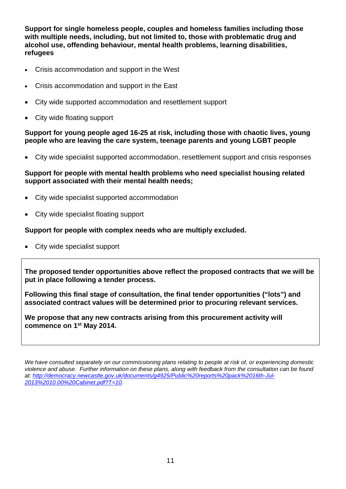**Support for single homeless people, couples and homeless families including those with multiple needs, including, but not limited to, those with problematic drug and alcohol use, offending behaviour, mental health problems, learning disabilities, refugees**

- Crisis accommodation and support in the West
- Crisis accommodation and support in the East
- City wide supported accommodation and resettlement support
- City wide floating support

#### **Support for young people aged 16-25 at risk, including those with chaotic lives, young people who are leaving the care system, teenage parents and young LGBT people**

• City wide specialist supported accommodation, resettlement support and crisis responses

#### **Support for people with mental health problems who need specialist housing related support associated with their mental health needs;**

- City wide specialist supported accommodation
- City wide specialist floating support

#### **Support for people with complex needs who are multiply excluded.**

• City wide specialist support

**The proposed tender opportunities above reflect the proposed contracts that we will be put in place following a tender process.** 

**Following this final stage of consultation, the final tender opportunities ("lots") and associated contract values will be determined prior to procuring relevant services.** 

**We propose that any new contracts arising from this procurement activity will commence on 1st May 2014.**

*We have consulted separately on our commissioning plans relating to people at risk of, or experiencing domestic violence and abuse. Further information on these plans, along with feedback from the consultation can be found at: [http://democracy.newcastle.gov.uk/documents/g4925/Public%20reports%20pack%2016th-Jul-](http://democracy.newcastle.gov.uk/documents/g4925/Public%20reports%20pack%2016th-Jul-2013%2010.00%20Cabinet.pdf?T=10)[2013%2010.00%20Cabinet.pdf?T=10](http://democracy.newcastle.gov.uk/documents/g4925/Public%20reports%20pack%2016th-Jul-2013%2010.00%20Cabinet.pdf?T=10)*.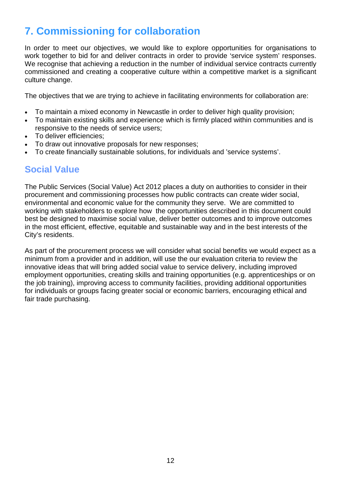# **7. Commissioning for collaboration**

In order to meet our objectives, we would like to explore opportunities for organisations to work together to bid for and deliver contracts in order to provide 'service system' responses. We recognise that achieving a reduction in the number of individual service contracts currently commissioned and creating a cooperative culture within a competitive market is a significant culture change.

The objectives that we are trying to achieve in facilitating environments for collaboration are:

- To maintain a mixed economy in Newcastle in order to deliver high quality provision;
- To maintain existing skills and experience which is firmly placed within communities and is responsive to the needs of service users;
- To deliver efficiencies;
- To draw out innovative proposals for new responses;
- To create financially sustainable solutions, for individuals and 'service systems'.

### **Social Value**

The Public Services (Social Value) Act 2012 places a duty on authorities to consider in their procurement and commissioning processes how public contracts can create wider social, environmental and economic value for the community they serve. We are committed to working with stakeholders to explore how the opportunities described in this document could best be designed to maximise social value, deliver better outcomes and to improve outcomes in the most efficient, effective, equitable and sustainable way and in the best interests of the City's residents.

As part of the procurement process we will consider what social benefits we would expect as a minimum from a provider and in addition, will use the our evaluation criteria to review the innovative ideas that will bring added social value to service delivery, including improved employment opportunities, creating skills and training opportunities (e.g. apprenticeships or on the job training), improving access to community facilities, providing additional opportunities for individuals or groups facing greater social or economic barriers, encouraging ethical and fair trade purchasing.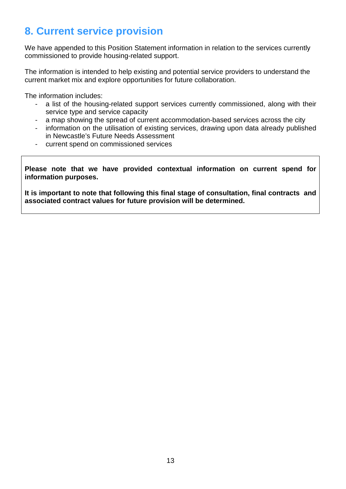# **8. Current service provision**

We have appended to this Position Statement information in relation to the services currently commissioned to provide housing-related support.

The information is intended to help existing and potential service providers to understand the current market mix and explore opportunities for future collaboration.

The information includes:

- a list of the housing-related support services currently commissioned, along with their service type and service capacity
- a map showing the spread of current accommodation-based services across the city
- information on the utilisation of existing services, drawing upon data already published in Newcastle's Future Needs Assessment
- current spend on commissioned services

**Please note that we have provided contextual information on current spend for information purposes.** 

**It is important to note that following this final stage of consultation, final contracts and associated contract values for future provision will be determined.**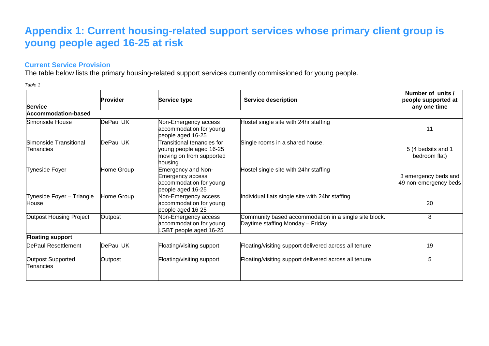### **Appendix 1: Current housing-related support services whose primary client group is young people aged 16-25 at risk**

### **Current Service Provision**

The table below lists the primary housing-related support services currently commissioned for young people.

*Table 1*

|                                       | <b>Provider</b> | Service type                                                                                        | <b>Service description</b>                                                                | Number of units /<br>people supported at      |
|---------------------------------------|-----------------|-----------------------------------------------------------------------------------------------------|-------------------------------------------------------------------------------------------|-----------------------------------------------|
| Service                               |                 |                                                                                                     |                                                                                           | any one time                                  |
| <b>Accommodation-based</b>            |                 |                                                                                                     |                                                                                           |                                               |
| Simonside House                       | DePaul UK       | Non-Emergency access<br>accommodation for young<br>people aged 16-25                                | Hostel single site with 24hr staffing                                                     | 11                                            |
| Simonside Transitional<br>Tenancies   | DePaul UK       | <b>Transitional tenancies for</b><br>young people aged 16-25<br>moving on from supported<br>housing | Single rooms in a shared house.                                                           | 5 (4 bedsits and 1<br>bedroom flat)           |
| <b>Tyneside Foyer</b>                 | Home Group      | <b>Emergency and Non-</b><br>Emergency access<br>accommodation for young<br>people aged 16-25       | Hostel single site with 24hr staffing                                                     | 3 emergency beds and<br>49 non-emergency beds |
| Tyneside Foyer - Triangle<br>House    | Home Group      | Non-Emergency access<br>accommodation for young<br>people aged 16-25                                | Individual flats single site with 24hr staffing                                           | 20                                            |
| <b>Outpost Housing Project</b>        | Outpost         | Non-Emergency access<br>accommodation for young<br>-GBT people aged 16-25                           | Community based accommodation in a single site block.<br>Daytime staffing Monday - Friday | 8                                             |
| <b>Floating support</b>               |                 |                                                                                                     |                                                                                           |                                               |
| DePaul Resettlement                   | DePaul UK       | Floating/visiting support                                                                           | Floating/visiting support delivered across all tenure                                     | 19                                            |
| <b>Outpost Supported</b><br>Tenancies | Outpost         | Floating/visiting support                                                                           | Floating/visiting support delivered across all tenure                                     | 5                                             |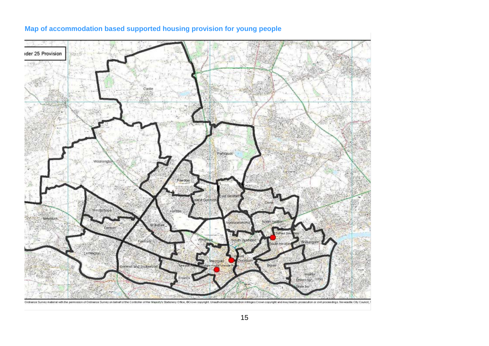

### **Map of accommodation based supported housing provision for young people**

Ordnance Survey material with the permission of Ordnance Survey on behalf of the Controller of Her Majesty's Stationery Office, @Crown copyright. Unauthorized reproduction intringes Crown copyright, and may lead to protecu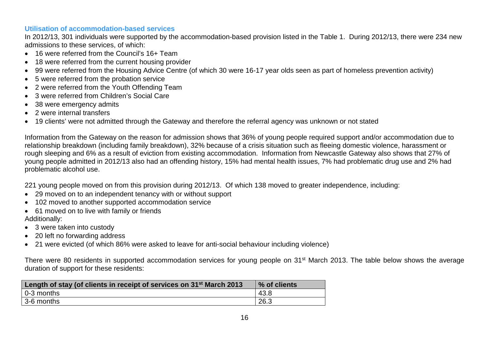### **Utilisation of accommodation-based services**

In 2012/13, 301 individuals were supported by the accommodation-based provision listed in the Table 1. During 2012/13, there were 234 new admissions to these services, of which:

- 16 were referred from the Council's 16+ Team
- 18 were referred from the current housing provider
- 99 were referred from the Housing Advice Centre (of which 30 were 16-17 year olds seen as part of homeless prevention activity)
- 5 were referred from the probation service
- 2 were referred from the Youth Offending Team
- 3 were referred from Children's Social Care
- 38 were emergency admits
- 2 were internal transfers
- 19 clients' were not admitted through the Gateway and therefore the referral agency was unknown or not stated

Information from the Gateway on the reason for admission shows that 36% of young people required support and/or accommodation due to relationship breakdown (including family breakdown), 32% because of a crisis situation such as fleeing domestic violence, harassment or rough sleeping and 6% as a result of eviction from existing accommodation. Information from Newcastle Gateway also shows that 27% of young people admitted in 2012/13 also had an offending history, 15% had mental health issues, 7% had problematic drug use and 2% had problematic alcohol use.

221 young people moved on from this provision during 2012/13. Of which 138 moved to greater independence, including:

- 29 moved on to an independent tenancy with or without support
- 102 moved to another supported accommodation service
- 61 moved on to live with family or friends Additionally:
- 3 were taken into custody
- 20 left no forwarding address
- 21 were evicted (of which 86% were asked to leave for anti-social behaviour including violence)

There were 80 residents in supported accommodation services for young people on 31<sup>st</sup> March 2013. The table below shows the average duration of support for these residents:

| Length of stay (of clients in receipt of services on 31 <sup>st</sup> March 2013 | % of clients |
|----------------------------------------------------------------------------------|--------------|
| 0-3 months                                                                       | 43.8         |
| 3-6 months                                                                       | 26.3         |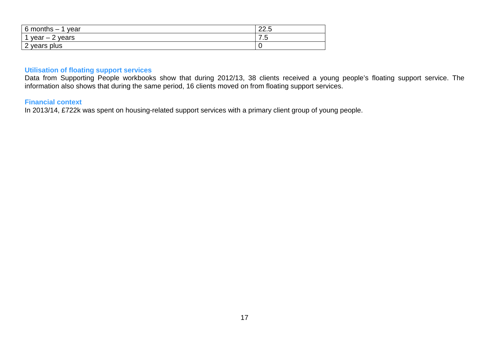| 6 months<br>year<br>$\overline{\phantom{0}}$ | າາ<br>22.J |
|----------------------------------------------|------------|
| ◠<br>years<br>$year - 2$<br>∠                | –<br>ں ،   |
| years plus<br>∼                              | ∼          |

#### **Utilisation of floating support services**

Data from Supporting People workbooks show that during 2012/13, 38 clients received a young people's floating support service. The information also shows that during the same period, 16 clients moved on from floating support services.

### **Financial context**

In 2013/14, £722k was spent on housing-related support services with a primary client group of young people.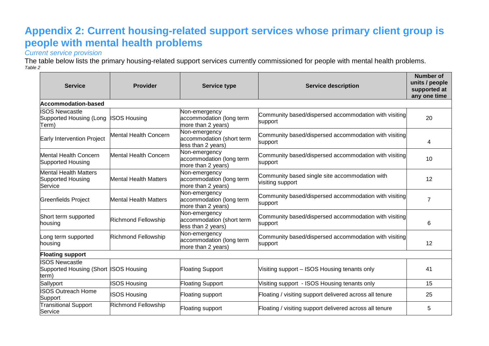# **Appendix 2: Current housing-related support services whose primary client group is people with mental health problems**

*Current service provision*

The table below lists the primary housing-related support services currently commissioned for people with mental health problems. *Table 2*

| <b>Service</b>                                                          | Provider                     | <b>Service type</b>                                              | <b>Service description</b>                                         | Number of<br>units / people<br>supported at<br>any one time |
|-------------------------------------------------------------------------|------------------------------|------------------------------------------------------------------|--------------------------------------------------------------------|-------------------------------------------------------------|
| <b>Accommodation-based</b>                                              |                              |                                                                  |                                                                    |                                                             |
| <b>ISOS Newcastle</b><br>Supported Housing (Long<br>Term)               | <b>SOS Housing</b>           | Non-emergency<br>accommodation (long term<br>more than 2 years)  | Community based/dispersed accommodation with visiting<br>support   | 20                                                          |
| Early Intervention Project                                              | Mental Health Concern        | Non-emergency<br>accommodation (short term<br>less than 2 years) | Community based/dispersed accommodation with visiting<br>support   | 4                                                           |
| <b>Mental Health Concern</b><br>Supported Housing                       | <b>Mental Health Concern</b> | Non-emergency<br>accommodation (long term<br>more than 2 years)  | Community based/dispersed accommodation with visiting<br>support   | 10                                                          |
| <b>Mental Health Matters</b><br>Supported Housing<br>Service            | <b>Mental Health Matters</b> | Non-emergency<br>accommodation (long term<br>more than 2 years)  | Community based single site accommodation with<br>visiting support | 12                                                          |
| Greenfields Project                                                     | <b>Mental Health Matters</b> | Non-emergency<br>accommodation (long term<br>more than 2 years)  | Community based/dispersed accommodation with visiting<br>support   | $\overline{7}$                                              |
| Short term supported<br>housing                                         | Richmond Fellowship          | Non-emergency<br>accommodation (short term<br>less than 2 years) | Community based/dispersed accommodation with visiting<br>support   | 6                                                           |
| Long term supported<br>housing                                          | Richmond Fellowship          | Non-emergency<br>accommodation (long term<br>more than 2 years)  | Community based/dispersed accommodation with visiting<br>support   | 12                                                          |
| <b>Floating support</b>                                                 |                              |                                                                  |                                                                    |                                                             |
| <b>ISOS Newcastle</b><br>Supported Housing (Short ISOS Housing<br>term) |                              | <b>Floating Support</b>                                          | Visiting support - ISOS Housing tenants only                       | 41                                                          |
| Sallyport                                                               | <b>SOS Housing</b>           | <b>Floating Support</b>                                          | Visiting support - ISOS Housing tenants only                       | 15                                                          |
| <b>ISOS Outreach Home</b><br>Support                                    | <b>ISOS Housing</b>          | Floating support                                                 | Floating / visiting support delivered across all tenure            | 25                                                          |
| <b>Transitional Support</b><br>Service                                  | <b>Richmond Fellowship</b>   | <b>Floating support</b>                                          | Floating / visiting support delivered across all tenure            | 5                                                           |

18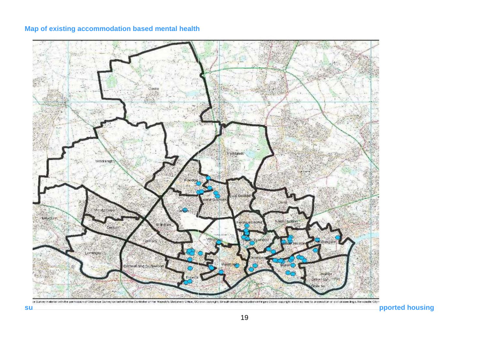### **Map of existing accommodation based mental health**

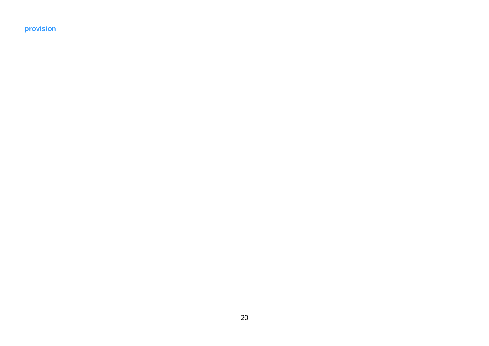**provision**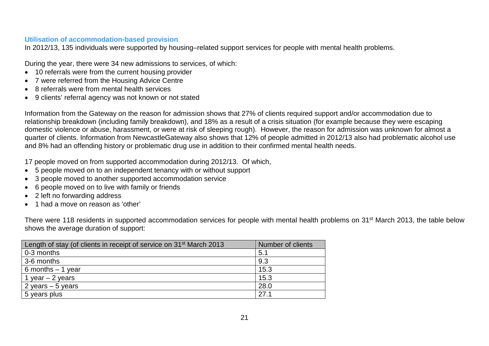#### **Utilisation of accommodation-based provision**

In 2012/13, 135 individuals were supported by housing–related support services for people with mental health problems.

During the year, there were 34 new admissions to services, of which:

- 10 referrals were from the current housing provider
- 7 were referred from the Housing Advice Centre
- 8 referrals were from mental health services
- 9 clients' referral agency was not known or not stated

Information from the Gateway on the reason for admission shows that 27% of clients required support and/or accommodation due to relationship breakdown (including family breakdown), and 18% as a result of a crisis situation (for example because they were escaping domestic violence or abuse, harassment, or were at risk of sleeping rough). However, the reason for admission was unknown for almost a quarter of clients. Information from NewcastleGateway also shows that 12% of people admitted in 2012/13 also had problematic alcohol use and 8% had an offending history or problematic drug use in addition to their confirmed mental health needs.

17 people moved on from supported accommodation during 2012/13. Of which,

- 5 people moved on to an independent tenancy with or without support
- 3 people moved to another supported accommodation service
- 6 people moved on to live with family or friends
- 2 left no forwarding address
- 1 had a move on reason as 'other'

There were 118 residents in supported accommodation services for people with mental health problems on 31<sup>st</sup> March 2013, the table below shows the average duration of support:

| Length of stay (of clients in receipt of service on 31 <sup>st</sup> March 2013 | Number of clients |
|---------------------------------------------------------------------------------|-------------------|
| 0-3 months                                                                      | 5.1               |
| 3-6 months                                                                      | 9.3               |
| 6 months $-1$ year                                                              | 15.3              |
| 1 year $-$ 2 years                                                              | 15.3              |
| 2 years $-5$ years                                                              | 28.0              |
| 5 years plus                                                                    | 27.1              |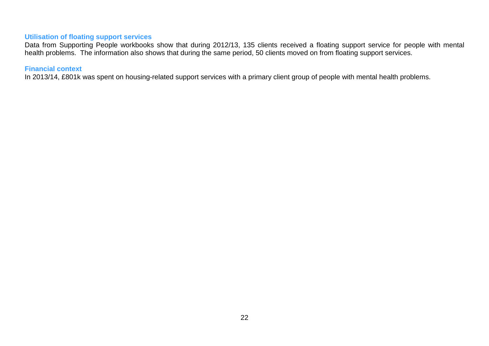#### **Utilisation of floating support services**

Data from Supporting People workbooks show that during 2012/13, 135 clients received a floating support service for people with mental health problems. The information also shows that during the same period, 50 clients moved on from floating support services.

### **Financial context**

In 2013/14, £801k was spent on housing-related support services with a primary client group of people with mental health problems.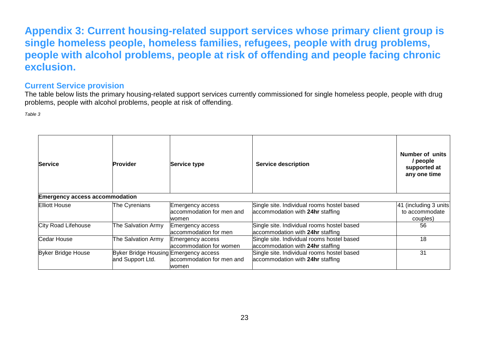### **Appendix 3: Current housing-related support services whose primary client group is single homeless people, homeless families, refugees, people with drug problems, people with alcohol problems, people at risk of offending and people facing chronic exclusion.**

### **Current Service provision**

The table below lists the primary housing-related support services currently commissioned for single homeless people, people with drug problems, people with alcohol problems, people at risk of offending.

*Table 3*

| Service                               | <b>Provider</b>                                           | Service type                                           | <b>Service description</b>                                                     | Number of units<br>/ people<br>supported at<br>any one time |
|---------------------------------------|-----------------------------------------------------------|--------------------------------------------------------|--------------------------------------------------------------------------------|-------------------------------------------------------------|
| <b>Emergency access accommodation</b> |                                                           |                                                        |                                                                                |                                                             |
| Elliott House                         | The Cyrenians                                             | Emergency access<br>accommodation for men and<br>women | Single site. Individual rooms hostel based<br>accommodation with 24hr staffing | 41 (including 3 units<br>to accommodate<br>couples)         |
| City Road Lifehouse                   | The Salvation Army                                        | Emergency access<br>accommodation for men              | Single site. Individual rooms hostel based<br>accommodation with 24hr staffing | 56                                                          |
| Cedar House                           | The Salvation Army                                        | <b>Emergency access</b><br>accommodation for women     | Single site. Individual rooms hostel based<br>accommodation with 24hr staffing | 18                                                          |
| <b>Byker Bridge House</b>             | Byker Bridge Housing Emergency access<br>and Support Ltd. | accommodation for men and<br>women                     | Single site. Individual rooms hostel based<br>accommodation with 24hr staffing | 31                                                          |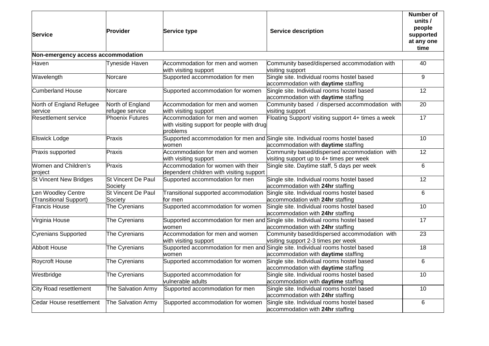| <b>Service</b>                               | <b>Provider</b>                     | Service type                                                                              | <b>Service description</b>                                                                                         | <b>Number of</b><br>units /<br>people<br>supported<br>at any one<br>time |
|----------------------------------------------|-------------------------------------|-------------------------------------------------------------------------------------------|--------------------------------------------------------------------------------------------------------------------|--------------------------------------------------------------------------|
| Non-emergency access accommodation           |                                     |                                                                                           |                                                                                                                    |                                                                          |
| Haven                                        | Tyneside Haven                      | Accommodation for men and women<br>with visiting support                                  | Community based/dispersed accommodation with<br>visiting support                                                   | 40                                                                       |
| Wavelength                                   | Norcare                             | Supported accommodation for men                                                           | Single site. Individual rooms hostel based<br>accommodation with daytime staffing                                  | 9                                                                        |
| Cumberland House                             | Norcare                             | Supported accommodation for women                                                         | Single site. Individual rooms hostel based<br>accommodation with daytime staffing                                  | 12                                                                       |
| North of England Refugee<br>service          | North of England<br>refugee service | Accommodation for men and women<br>with visiting support                                  | Community based / dispersed accommodation with<br>visiting support                                                 | $\overline{20}$                                                          |
| <b>Resettlement service</b>                  | <b>Phoenix Futures</b>              | Accommodation for men and women<br>with visiting support for people with drug<br>problems | Floating Support/ visiting support 4+ times a week                                                                 | $\overline{17}$                                                          |
| <b>Elswick Lodge</b>                         | Praxis                              | Supported accommodation for men and<br>women                                              | Single site. Individual rooms hostel based<br>accommodation with <b>daytime</b> staffing                           | 10                                                                       |
| Praxis supported                             | Praxis                              | Accommodation for men and women<br>with visiting support                                  | Community based/dispersed accommodation with<br>visiting support up to 4+ times per week                           | 12                                                                       |
| Women and Children's<br>project              | Praxis                              | Accommodation for women with their<br>dependent children with visiting support            | Single site. Daytime staff, 5 days per week                                                                        | 6                                                                        |
| <b>St Vincent New Bridges</b>                | St Vincent De Paul<br>Society       | Supported accommodation for men                                                           | Single site. Individual rooms hostel based<br>accommodation with 24hr staffing                                     | 12                                                                       |
| Len Woodley Centre<br>(Transitional Support) | St Vincent De Paul<br>Society       | Transitional supported accommodation<br>lfor men                                          | Single site. Individual rooms hostel based<br>accommodation with 24hr staffing                                     | 6                                                                        |
| Francis House                                | The Cyrenians                       | Supported accommodation for women                                                         | Single site. Individual rooms hostel based<br>accommodation with 24hr staffing                                     | 10                                                                       |
| Virginia House                               | The Cyrenians                       | women                                                                                     | Supported accommodation for men and Single site. Individual rooms hostel based<br>accommodation with 24hr staffing | $\overline{17}$                                                          |
| <b>Cyrenians Supported</b>                   | The Cyrenians                       | Accommodation for men and women<br>with visiting support                                  | Community based/dispersed accommodation with<br>visiting support 2-3 times per week                                | 23                                                                       |
| <b>Abbott House</b>                          | The Cyrenians                       | Supported accommodation for men and<br>women                                              | Single site. Individual rooms hostel based<br>accommodation with daytime staffing                                  | $\overline{18}$                                                          |
| <b>Roycroft House</b>                        | The Cyrenians                       | Supported accommodation for women                                                         | Single site. Individual rooms hostel based<br>accommodation with daytime staffing                                  | 6                                                                        |
| Westbridge                                   | The Cyrenians                       | Supported accommodation for<br>vulnerable adults                                          | Single site. Individual rooms hostel based<br>accommodation with daytime staffing                                  | 10                                                                       |
| City Road resettlement                       | The Salvation Army                  | Supported accommodation for men                                                           | Single site. Individual rooms hostel based<br>accommodation with 24hr staffing                                     | 10                                                                       |
| Cedar House resettlement                     | The Salvation Army                  | Supported accommodation for women                                                         | Single site. Individual rooms hostel based<br>accommodation with 24hr staffing                                     | 6                                                                        |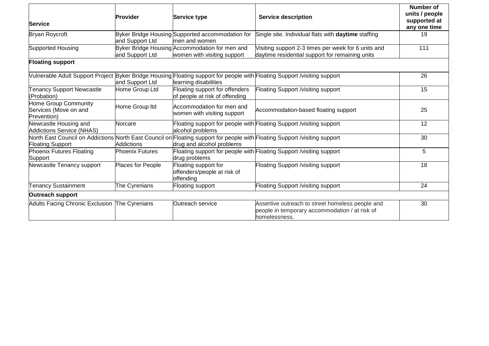| <b>Service</b>                                               | <b>Provider</b>        | Service type                                                                  | <b>Service description</b>                                                                                                 | Number of<br>units / people<br>supported at<br>any one time |
|--------------------------------------------------------------|------------------------|-------------------------------------------------------------------------------|----------------------------------------------------------------------------------------------------------------------------|-------------------------------------------------------------|
| <b>Bryan Roycroft</b>                                        | and Support Ltd        | Byker Bridge Housing Supported accommodation for<br>men and women             | Single site. Individual flats with daytime staffing                                                                        | 19                                                          |
| Supported Housing                                            | and Support Ltd        | Byker Bridge Housing Accommodation for men and<br>women with visiting support | Visiting support 2-3 times per week for 6 units and<br>daytime residential support for remaining units                     | 111                                                         |
| <b>Floating support</b>                                      |                        |                                                                               |                                                                                                                            |                                                             |
|                                                              | and Support Ltd        | learning disabilities                                                         | Vulnerable Adult Support Project Byker Bridge Housing Floating support for people with Floating Support /visiting support  | 26                                                          |
| <b>Tenancy Support Newcastle</b><br>(Probation)              | Home Group Ltd         | Floating support for offenders<br>of people at risk of offending              | Floating Support /visiting support                                                                                         | 15                                                          |
| Home Group Community<br>Services (Move on and<br>Prevention) | Home Group Itd         | Accommodation for men and<br>women with visiting support                      | Accommodation-based floating support                                                                                       | 25                                                          |
| Newcastle Housing and<br>Addictions Service (NHAS)           | Norcare                | alcohol problems                                                              | Floating support for people with Floating Support / visiting support                                                       | 12                                                          |
| <b>Floating Support</b>                                      | <b>Addictions</b>      | drug and alcohol problems                                                     | North East Council on Addictions North East Council on Floating support for people with Floating Support /visiting support | 30                                                          |
| Phoenix Futures Floating<br>Support                          | <b>Phoenix Futures</b> | drug problems                                                                 | Floating support for people with Floating Support / visiting support                                                       | 5                                                           |
| Newcastle Tenancy support                                    | Places for People      | Floating support for<br>offenders/people at risk of<br>offending              | Floating Support /visiting support                                                                                         | 18                                                          |
| <b>Tenancy Sustainment</b>                                   | The Cyrenians          | Floating support                                                              | Floating Support / visiting support                                                                                        | 24                                                          |
| Outreach support                                             |                        |                                                                               |                                                                                                                            |                                                             |
| Adults Facing Chronic Exclusion The Cyrenians                |                        | Outreach service                                                              | Assertive outreach to street homeless people and<br>people in temporary accommodation / at risk of<br>homelessness.        | 30                                                          |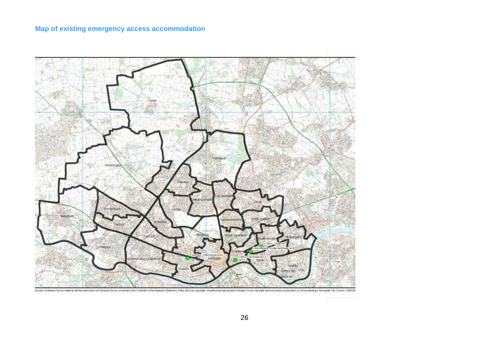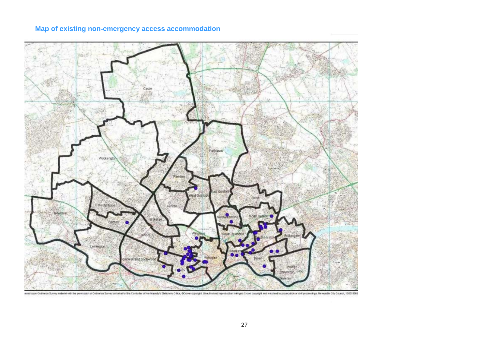

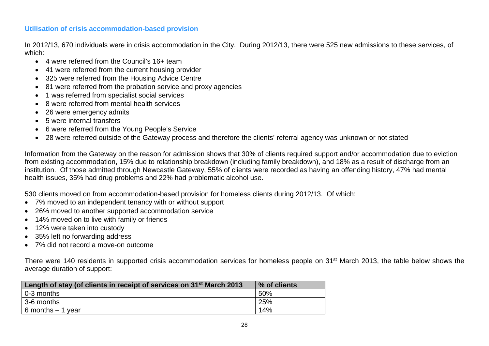#### **Utilisation of crisis accommodation-based provision**

In 2012/13, 670 individuals were in crisis accommodation in the City. During 2012/13, there were 525 new admissions to these services, of which:

- 4 were referred from the Council's 16+ team
- 41 were referred from the current housing provider
- 325 were referred from the Housing Advice Centre
- 81 were referred from the probation service and proxy agencies
- 1 was referred from specialist social services
- 8 were referred from mental health services
- 26 were emergency admits
- 5 were internal transfers
- 6 were referred from the Young People's Service
- 28 were referred outside of the Gateway process and therefore the clients' referral agency was unknown or not stated

Information from the Gateway on the reason for admission shows that 30% of clients required support and/or accommodation due to eviction from existing accommodation, 15% due to relationship breakdown (including family breakdown), and 18% as a result of discharge from an institution. Of those admitted through Newcastle Gateway, 55% of clients were recorded as having an offending history, 47% had mental health issues, 35% had drug problems and 22% had problematic alcohol use.

530 clients moved on from accommodation-based provision for homeless clients during 2012/13. Of which:

- 7% moved to an independent tenancy with or without support
- 26% moved to another supported accommodation service
- 14% moved on to live with family or friends
- 12% were taken into custody
- 35% left no forwarding address
- 7% did not record a move-on outcome

There were 140 residents in supported crisis accommodation services for homeless people on 31<sup>st</sup> March 2013, the table below shows the average duration of support:

| Length of stay (of clients in receipt of services on 31 <sup>st</sup> March 2013 | % of clients |
|----------------------------------------------------------------------------------|--------------|
| 0-3 months                                                                       | 50%          |
| 3-6 months                                                                       | 25%          |
| 6 months $-1$ year                                                               | 14%          |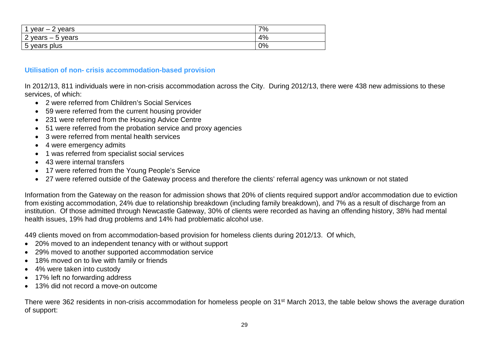| vear<br>vears<br>$\overline{\phantom{0}}$<br>-            | 70/<br>70 |
|-----------------------------------------------------------|-----------|
| C<br>years<br>years<br>$\overline{\phantom{0}}$<br>υ<br>▃ | 4%        |
| plus<br>years<br>◡                                        | 0%        |

#### **Utilisation of non- crisis accommodation-based provision**

In 2012/13, 811 individuals were in non-crisis accommodation across the City. During 2012/13, there were 438 new admissions to these services, of which:

- 2 were referred from Children's Social Services
- 59 were referred from the current housing provider
- 231 were referred from the Housing Advice Centre
- 51 were referred from the probation service and proxy agencies
- 3 were referred from mental health services
- 4 were emergency admits
- 1 was referred from specialist social services
- 43 were internal transfers
- 17 were referred from the Young People's Service
- 27 were referred outside of the Gateway process and therefore the clients' referral agency was unknown or not stated

Information from the Gateway on the reason for admission shows that 20% of clients required support and/or accommodation due to eviction from existing accommodation, 24% due to relationship breakdown (including family breakdown), and 7% as a result of discharge from an institution. Of those admitted through Newcastle Gateway, 30% of clients were recorded as having an offending history, 38% had mental health issues, 19% had drug problems and 14% had problematic alcohol use.

449 clients moved on from accommodation-based provision for homeless clients during 2012/13. Of which,

- 20% moved to an independent tenancy with or without support
- 29% moved to another supported accommodation service
- 18% moved on to live with family or friends
- 4% were taken into custody
- 17% left no forwarding address
- 13% did not record a move-on outcome

There were 362 residents in non-crisis accommodation for homeless people on 31st March 2013, the table below shows the average duration of support: